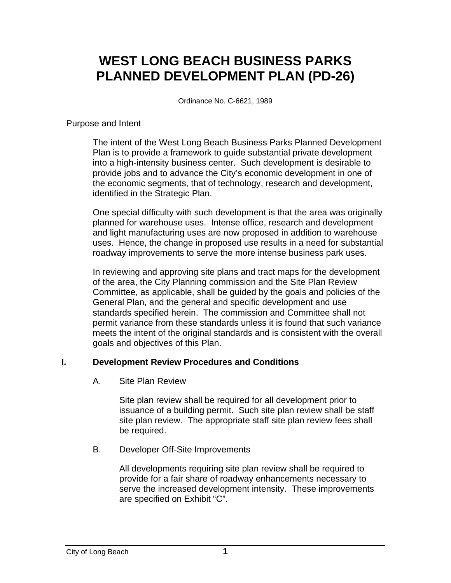# **WEST LONG BEACH BUSINESS PARKS PLANNED DEVELOPMENT PLAN (PD-26)**

Ordinance No. C-6621, 1989

#### Purpose and Intent

The intent of the West Long Beach Business Parks Planned Development Plan is to provide a framework to guide substantial private development into a high-intensity business center. Such development is desirable to provide jobs and to advance the City's economic development in one of the economic segments, that of technology, research and development, identified in the Strategic Plan.

One special difficulty with such development is that the area was originally planned for warehouse uses. Intense office, research and development and light manufacturing uses are now proposed in addition to warehouse uses. Hence, the change in proposed use results in a need for substantial roadway improvements to serve the more intense business park uses.

In reviewing and approving site plans and tract maps for the development of the area, the City Planning commission and the Site Plan Review Committee, as applicable, shall be guided by the goals and policies of the General Plan, and the general and specific development and use standards specified herein. The commission and Committee shall not permit variance from these standards unless it is found that such variance meets the intent of the original standards and is consistent with the overall goals and objectives of this Plan.

## **I. Development Review Procedures and Conditions**

## A. Site Plan Review

Site plan review shall be required for all development prior to issuance of a building permit. Such site plan review shall be staff site plan review. The appropriate staff site plan review fees shall be required.

## B. Developer Off-Site Improvements

All developments requiring site plan review shall be required to provide for a fair share of roadway enhancements necessary to serve the increased development intensity. These improvements are specified on Exhibit "C".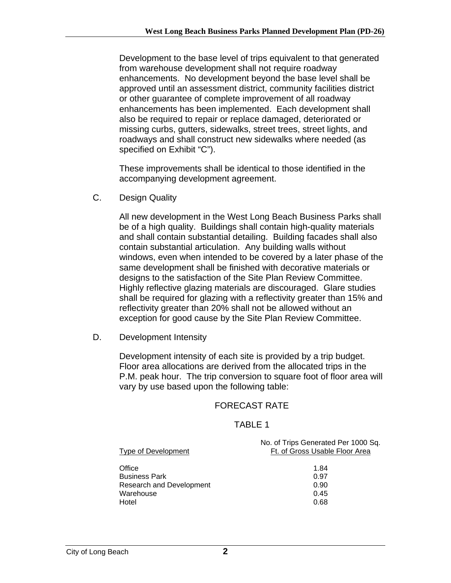Development to the base level of trips equivalent to that generated from warehouse development shall not require roadway enhancements. No development beyond the base level shall be approved until an assessment district, community facilities district or other guarantee of complete improvement of all roadway enhancements has been implemented. Each development shall also be required to repair or replace damaged, deteriorated or missing curbs, gutters, sidewalks, street trees, street lights, and roadways and shall construct new sidewalks where needed (as specified on Exhibit "C").

These improvements shall be identical to those identified in the accompanying development agreement.

C. Design Quality

All new development in the West Long Beach Business Parks shall be of a high quality. Buildings shall contain high-quality materials and shall contain substantial detailing. Building facades shall also contain substantial articulation. Any building walls without windows, even when intended to be covered by a later phase of the same development shall be finished with decorative materials or designs to the satisfaction of the Site Plan Review Committee. Highly reflective glazing materials are discouraged. Glare studies shall be required for glazing with a reflectivity greater than 15% and reflectivity greater than 20% shall not be allowed without an exception for good cause by the Site Plan Review Committee.

D. Development Intensity

Development intensity of each site is provided by a trip budget. Floor area allocations are derived from the allocated trips in the P.M. peak hour. The trip conversion to square foot of floor area will vary by use based upon the following table:

## FORECAST RATE

## TABLE 1

| Type of Development      | No. of Trips Generated Per 1000 Sq.<br>Ft. of Gross Usable Floor Area |  |  |
|--------------------------|-----------------------------------------------------------------------|--|--|
| Office                   | 1.84                                                                  |  |  |
| <b>Business Park</b>     | 0.97                                                                  |  |  |
| Research and Development | 0.90                                                                  |  |  |
| Warehouse                | 0.45                                                                  |  |  |
| Hotel                    | 0.68                                                                  |  |  |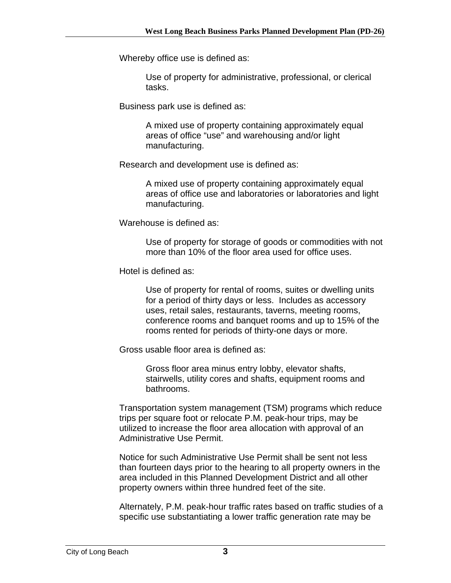Whereby office use is defined as:

Use of property for administrative, professional, or clerical tasks.

Business park use is defined as:

A mixed use of property containing approximately equal areas of office "use" and warehousing and/or light manufacturing.

Research and development use is defined as:

A mixed use of property containing approximately equal areas of office use and laboratories or laboratories and light manufacturing.

Warehouse is defined as:

Use of property for storage of goods or commodities with not more than 10% of the floor area used for office uses.

Hotel is defined as:

Use of property for rental of rooms, suites or dwelling units for a period of thirty days or less. Includes as accessory uses, retail sales, restaurants, taverns, meeting rooms, conference rooms and banquet rooms and up to 15% of the rooms rented for periods of thirty-one days or more.

Gross usable floor area is defined as:

Gross floor area minus entry lobby, elevator shafts, stairwells, utility cores and shafts, equipment rooms and bathrooms.

Transportation system management (TSM) programs which reduce trips per square foot or relocate P.M. peak-hour trips, may be utilized to increase the floor area allocation with approval of an Administrative Use Permit.

Notice for such Administrative Use Permit shall be sent not less than fourteen days prior to the hearing to all property owners in the area included in this Planned Development District and all other property owners within three hundred feet of the site.

Alternately, P.M. peak-hour traffic rates based on traffic studies of a specific use substantiating a lower traffic generation rate may be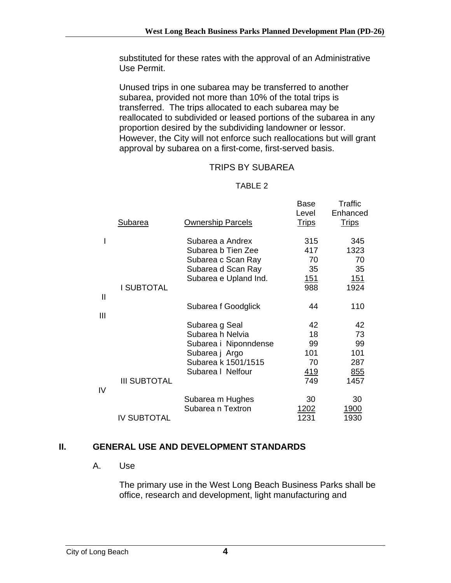substituted for these rates with the approval of an Administrative Use Permit.

Unused trips in one subarea may be transferred to another subarea, provided not more than 10% of the total trips is transferred. The trips allocated to each subarea may be reallocated to subdivided or leased portions of the subarea in any proportion desired by the subdividing landowner or lessor. However, the City will not enforce such reallocations but will grant approval by subarea on a first-come, first-served basis.

## TRIPS BY SUBAREA

#### TABLE 2

|                   | Subarea             | <b>Ownership Parcels</b>                                                                                    | <b>Base</b><br>Level<br><b>Trips</b>  | Traffic<br>Enhanced<br><b>Trips</b> |
|-------------------|---------------------|-------------------------------------------------------------------------------------------------------------|---------------------------------------|-------------------------------------|
|                   |                     | Subarea a Andrex<br>Subarea b Tien Zee<br>Subarea c Scan Ray<br>Subarea d Scan Ray<br>Subarea e Upland Ind. | 315<br>417<br>70<br>35<br><u> 151</u> | 345<br>1323<br>70<br>35<br>151      |
| $\mathbf{I}$<br>Ш | I SUBTOTAL          | Subarea f Goodglick                                                                                         | 988<br>44                             | 1924<br>110                         |
|                   |                     | Subarea g Seal<br>Subarea h Nelvia<br>Subarea i Niponndense<br>Subarea j Argo<br>Subarea k 1501/1515        | 42<br>18<br>99<br>101<br>70           | 42<br>73<br>99<br>101<br>287        |
| IV                | <b>III SUBTOTAL</b> | Subarea I Nelfour                                                                                           | 419<br>749                            | 855<br>1457                         |
|                   | <b>IV SUBTOTAL</b>  | Subarea m Hughes<br>Subarea n Textron                                                                       | 30<br>1202<br>1231                    | 30<br>1900<br>1930                  |

## **II. GENERAL USE AND DEVELOPMENT STANDARDS**

#### A. Use

The primary use in the West Long Beach Business Parks shall be office, research and development, light manufacturing and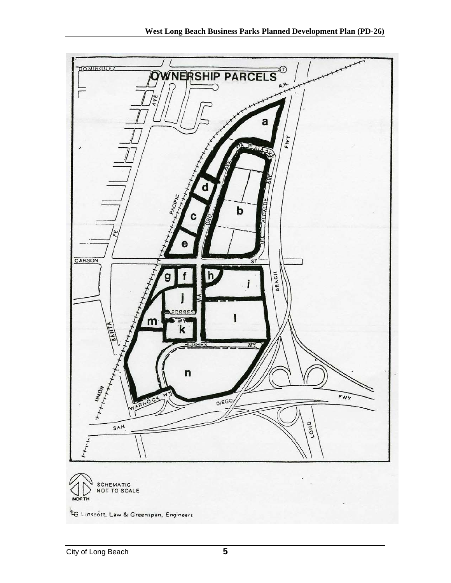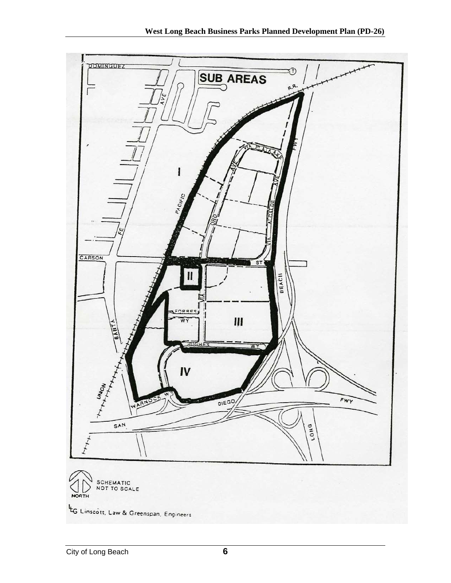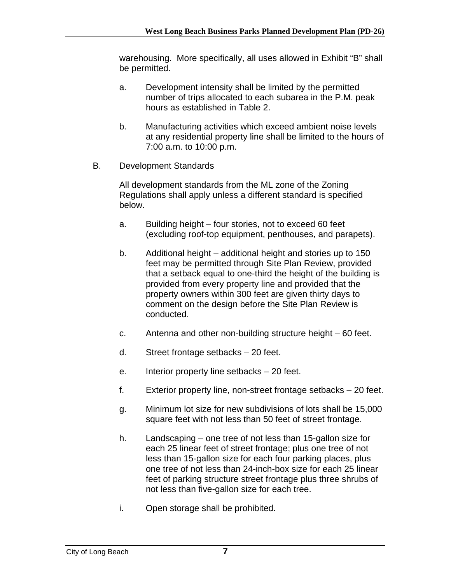warehousing. More specifically, all uses allowed in Exhibit "B" shall be permitted.

- a. Development intensity shall be limited by the permitted number of trips allocated to each subarea in the P.M. peak hours as established in Table 2.
- b. Manufacturing activities which exceed ambient noise levels at any residential property line shall be limited to the hours of 7:00 a.m. to 10:00 p.m.
- B. Development Standards

All development standards from the ML zone of the Zoning Regulations shall apply unless a different standard is specified below.

- a. Building height four stories, not to exceed 60 feet (excluding roof-top equipment, penthouses, and parapets).
- b. Additional height additional height and stories up to 150 feet may be permitted through Site Plan Review, provided that a setback equal to one-third the height of the building is provided from every property line and provided that the property owners within 300 feet are given thirty days to comment on the design before the Site Plan Review is conducted.
- c. Antenna and other non-building structure height 60 feet.
- d. Street frontage setbacks 20 feet.
- e. Interior property line setbacks 20 feet.
- f. Exterior property line, non-street frontage setbacks 20 feet.
- g. Minimum lot size for new subdivisions of lots shall be 15,000 square feet with not less than 50 feet of street frontage.
- h. Landscaping one tree of not less than 15-gallon size for each 25 linear feet of street frontage; plus one tree of not less than 15-gallon size for each four parking places, plus one tree of not less than 24-inch-box size for each 25 linear feet of parking structure street frontage plus three shrubs of not less than five-gallon size for each tree.
- i. Open storage shall be prohibited.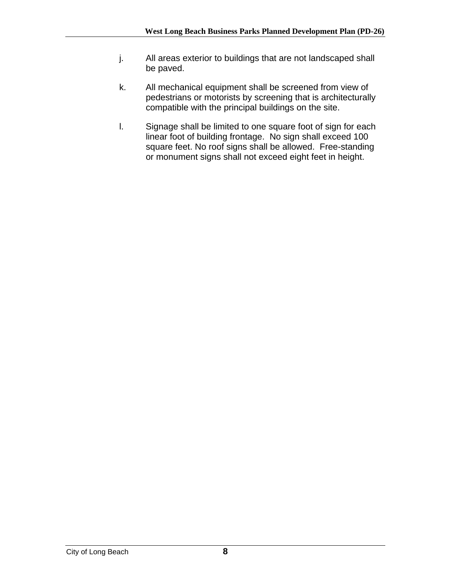- j. All areas exterior to buildings that are not landscaped shall be paved.
- k. All mechanical equipment shall be screened from view of pedestrians or motorists by screening that is architecturally compatible with the principal buildings on the site.
- l. Signage shall be limited to one square foot of sign for each linear foot of building frontage. No sign shall exceed 100 square feet. No roof signs shall be allowed. Free-standing or monument signs shall not exceed eight feet in height.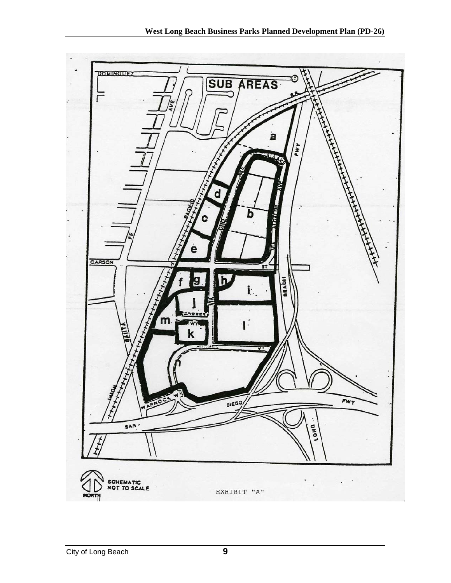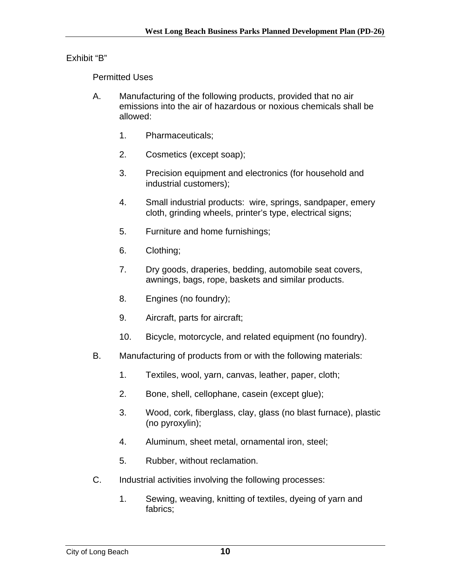Exhibit "B"

Permitted Uses

- A. Manufacturing of the following products, provided that no air emissions into the air of hazardous or noxious chemicals shall be allowed:
	- 1. Pharmaceuticals;
	- 2. Cosmetics (except soap);
	- 3. Precision equipment and electronics (for household and industrial customers);
	- 4. Small industrial products: wire, springs, sandpaper, emery cloth, grinding wheels, printer's type, electrical signs;
	- 5. Furniture and home furnishings;
	- 6. Clothing;
	- 7. Dry goods, draperies, bedding, automobile seat covers, awnings, bags, rope, baskets and similar products.
	- 8. Engines (no foundry);
	- 9. Aircraft, parts for aircraft;
	- 10. Bicycle, motorcycle, and related equipment (no foundry).
- B. Manufacturing of products from or with the following materials:
	- 1. Textiles, wool, yarn, canvas, leather, paper, cloth;
	- 2. Bone, shell, cellophane, casein (except glue);
	- 3. Wood, cork, fiberglass, clay, glass (no blast furnace), plastic (no pyroxylin);
	- 4. Aluminum, sheet metal, ornamental iron, steel;
	- 5. Rubber, without reclamation.
- C. Industrial activities involving the following processes:
	- 1. Sewing, weaving, knitting of textiles, dyeing of yarn and fabrics;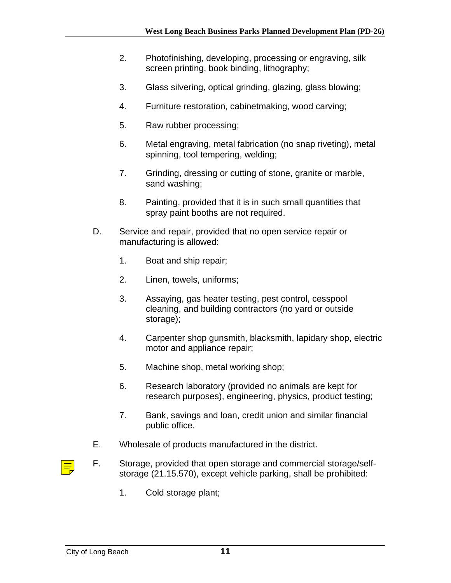- 2. Photofinishing, developing, processing or engraving, silk screen printing, book binding, lithography;
- 3. Glass silvering, optical grinding, glazing, glass blowing;
- 4. Furniture restoration, cabinetmaking, wood carving;
- 5. Raw rubber processing;
- 6. Metal engraving, metal fabrication (no snap riveting), metal spinning, tool tempering, welding;
- 7. Grinding, dressing or cutting of stone, granite or marble, sand washing;
- 8. Painting, provided that it is in such small quantities that spray paint booths are not required.
- D. Service and repair, provided that no open service repair or manufacturing is allowed:
	- 1. Boat and ship repair;
	- 2. Linen, towels, uniforms;
	- 3. Assaying, gas heater testing, pest control, cesspool cleaning, and building contractors (no yard or outside storage);
	- 4. Carpenter shop gunsmith, blacksmith, lapidary shop, electric motor and appliance repair;
	- 5. Machine shop, metal working shop;
	- 6. Research laboratory (provided no animals are kept for research purposes), engineering, physics, product testing;
	- 7. Bank, savings and loan, credit union and similar financial public office.
- E. Wholesale of products manufactured in the district.
- F. Storage, provided that open storage and commercial storage/selfstorage (21.15.570), except vehicle parking, shall be prohibited:
	- 1. Cold storage plant;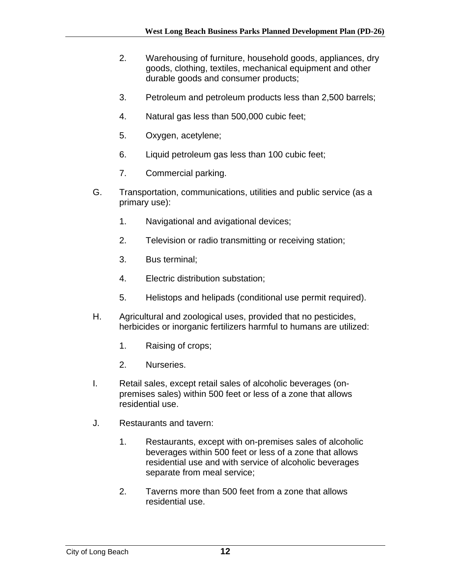- 2. Warehousing of furniture, household goods, appliances, dry goods, clothing, textiles, mechanical equipment and other durable goods and consumer products;
- 3. Petroleum and petroleum products less than 2,500 barrels;
- 4. Natural gas less than 500,000 cubic feet;
- 5. Oxygen, acetylene;
- 6. Liquid petroleum gas less than 100 cubic feet;
- 7. Commercial parking.
- G. Transportation, communications, utilities and public service (as a primary use):
	- 1. Navigational and avigational devices;
	- 2. Television or radio transmitting or receiving station;
	- 3. Bus terminal;
	- 4. Electric distribution substation;
	- 5. Helistops and helipads (conditional use permit required).
- H. Agricultural and zoological uses, provided that no pesticides, herbicides or inorganic fertilizers harmful to humans are utilized:
	- 1. Raising of crops;
	- 2. Nurseries.
- I. Retail sales, except retail sales of alcoholic beverages (onpremises sales) within 500 feet or less of a zone that allows residential use.
- J. Restaurants and tavern:
	- 1. Restaurants, except with on-premises sales of alcoholic beverages within 500 feet or less of a zone that allows residential use and with service of alcoholic beverages separate from meal service;
	- 2. Taverns more than 500 feet from a zone that allows residential use.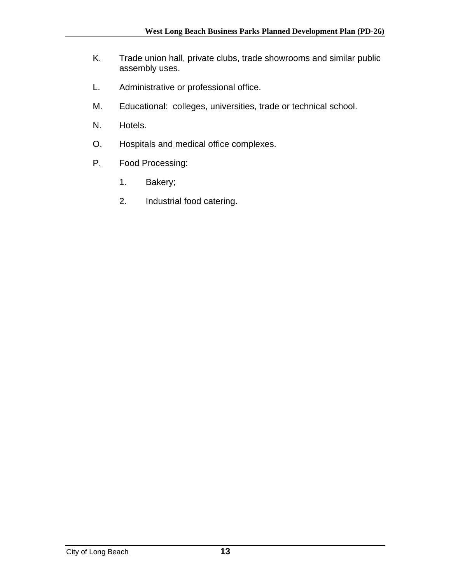- K. Trade union hall, private clubs, trade showrooms and similar public assembly uses.
- L. Administrative or professional office.
- M. Educational: colleges, universities, trade or technical school.
- N. Hotels.
- O. Hospitals and medical office complexes.
- P. Food Processing:
	- 1. Bakery;
	- 2. Industrial food catering.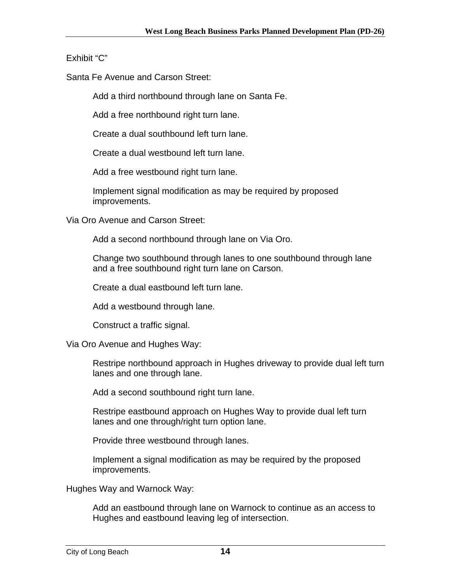## Exhibit "C"

Santa Fe Avenue and Carson Street:

Add a third northbound through lane on Santa Fe.

Add a free northbound right turn lane.

Create a dual southbound left turn lane.

Create a dual westbound left turn lane.

Add a free westbound right turn lane.

Implement signal modification as may be required by proposed improvements.

Via Oro Avenue and Carson Street:

Add a second northbound through lane on Via Oro.

Change two southbound through lanes to one southbound through lane and a free southbound right turn lane on Carson.

Create a dual eastbound left turn lane.

Add a westbound through lane.

Construct a traffic signal.

Via Oro Avenue and Hughes Way:

Restripe northbound approach in Hughes driveway to provide dual left turn lanes and one through lane.

Add a second southbound right turn lane.

Restripe eastbound approach on Hughes Way to provide dual left turn lanes and one through/right turn option lane.

Provide three westbound through lanes.

Implement a signal modification as may be required by the proposed improvements.

Hughes Way and Warnock Way:

Add an eastbound through lane on Warnock to continue as an access to Hughes and eastbound leaving leg of intersection.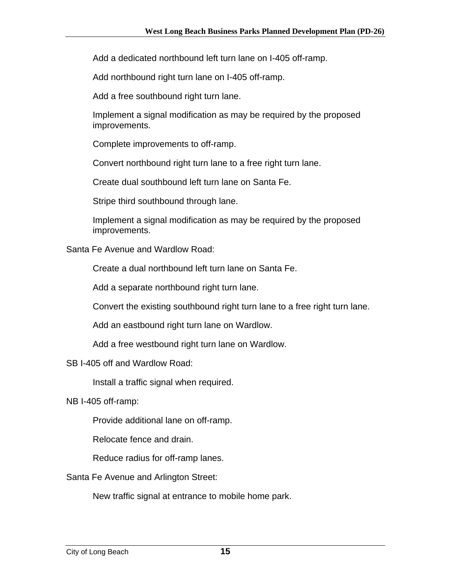Add a dedicated northbound left turn lane on I-405 off-ramp.

Add northbound right turn lane on I-405 off-ramp.

Add a free southbound right turn lane.

Implement a signal modification as may be required by the proposed improvements.

Complete improvements to off-ramp.

Convert northbound right turn lane to a free right turn lane.

Create dual southbound left turn lane on Santa Fe.

Stripe third southbound through lane.

Implement a signal modification as may be required by the proposed improvements.

Santa Fe Avenue and Wardlow Road:

Create a dual northbound left turn lane on Santa Fe.

Add a separate northbound right turn lane.

Convert the existing southbound right turn lane to a free right turn lane.

Add an eastbound right turn lane on Wardlow.

Add a free westbound right turn lane on Wardlow.

SB I-405 off and Wardlow Road:

Install a traffic signal when required.

NB I-405 off-ramp:

Provide additional lane on off-ramp.

Relocate fence and drain.

Reduce radius for off-ramp lanes.

Santa Fe Avenue and Arlington Street:

New traffic signal at entrance to mobile home park.